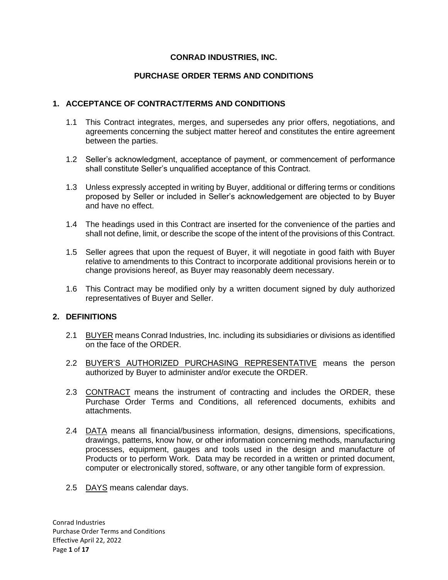## **CONRAD INDUSTRIES, INC.**

# **PURCHASE ORDER TERMS AND CONDITIONS**

## **1. ACCEPTANCE OF CONTRACT/TERMS AND CONDITIONS**

- 1.1 This Contract integrates, merges, and supersedes any prior offers, negotiations, and agreements concerning the subject matter hereof and constitutes the entire agreement between the parties.
- 1.2 Seller's acknowledgment, acceptance of payment, or commencement of performance shall constitute Seller's unqualified acceptance of this Contract.
- 1.3 Unless expressly accepted in writing by Buyer, additional or differing terms or conditions proposed by Seller or included in Seller's acknowledgement are objected to by Buyer and have no effect.
- 1.4 The headings used in this Contract are inserted for the convenience of the parties and shall not define, limit, or describe the scope of the intent of the provisions of this Contract.
- 1.5 Seller agrees that upon the request of Buyer, it will negotiate in good faith with Buyer relative to amendments to this Contract to incorporate additional provisions herein or to change provisions hereof, as Buyer may reasonably deem necessary.
- 1.6 This Contract may be modified only by a written document signed by duly authorized representatives of Buyer and Seller.

### **2. DEFINITIONS**

- 2.1 BUYER means Conrad Industries, Inc. including its subsidiaries or divisions as identified on the face of the ORDER.
- 2.2 BUYER'S AUTHORIZED PURCHASING REPRESENTATIVE means the person authorized by Buyer to administer and/or execute the ORDER.
- 2.3 CONTRACT means the instrument of contracting and includes the ORDER, these Purchase Order Terms and Conditions, all referenced documents, exhibits and attachments.
- 2.4 DATA means all financial/business information, designs, dimensions, specifications, drawings, patterns, know how, or other information concerning methods, manufacturing processes, equipment, gauges and tools used in the design and manufacture of Products or to perform Work. Data may be recorded in a written or printed document, computer or electronically stored, software, or any other tangible form of expression.
- 2.5 DAYS means calendar days.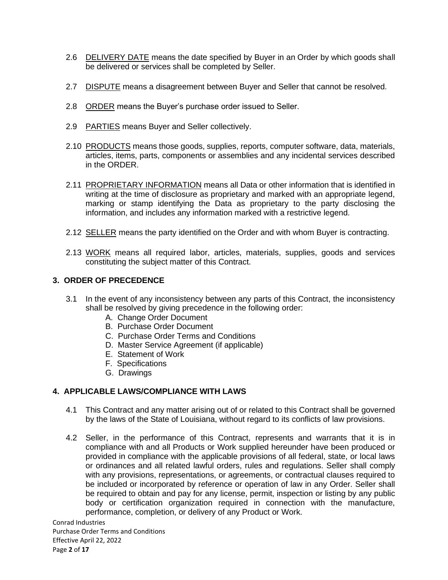- 2.6 DELIVERY DATE means the date specified by Buyer in an Order by which goods shall be delivered or services shall be completed by Seller.
- 2.7 DISPUTE means a disagreement between Buyer and Seller that cannot be resolved.
- 2.8 ORDER means the Buyer's purchase order issued to Seller.
- 2.9 PARTIES means Buyer and Seller collectively.
- 2.10 PRODUCTS means those goods, supplies, reports, computer software, data, materials, articles, items, parts, components or assemblies and any incidental services described in the ORDER.
- 2.11 PROPRIETARY INFORMATION means all Data or other information that is identified in writing at the time of disclosure as proprietary and marked with an appropriate legend, marking or stamp identifying the Data as proprietary to the party disclosing the information, and includes any information marked with a restrictive legend.
- 2.12 SELLER means the party identified on the Order and with whom Buyer is contracting.
- 2.13 WORK means all required labor, articles, materials, supplies, goods and services constituting the subject matter of this Contract.

# **3. ORDER OF PRECEDENCE**

- 3.1 In the event of any inconsistency between any parts of this Contract, the inconsistency shall be resolved by giving precedence in the following order:
	- A. Change Order Document
	- B. Purchase Order Document
	- C. Purchase Order Terms and Conditions
	- D. Master Service Agreement (if applicable)
	- E. Statement of Work
	- F. Specifications
	- G. Drawings

### **4. APPLICABLE LAWS/COMPLIANCE WITH LAWS**

- 4.1 This Contract and any matter arising out of or related to this Contract shall be governed by the laws of the State of Louisiana, without regard to its conflicts of law provisions.
- 4.2 Seller, in the performance of this Contract, represents and warrants that it is in compliance with and all Products or Work supplied hereunder have been produced or provided in compliance with the applicable provisions of all federal, state, or local laws or ordinances and all related lawful orders, rules and regulations. Seller shall comply with any provisions, representations, or agreements, or contractual clauses required to be included or incorporated by reference or operation of law in any Order. Seller shall be required to obtain and pay for any license, permit, inspection or listing by any public body or certification organization required in connection with the manufacture, performance, completion, or delivery of any Product or Work.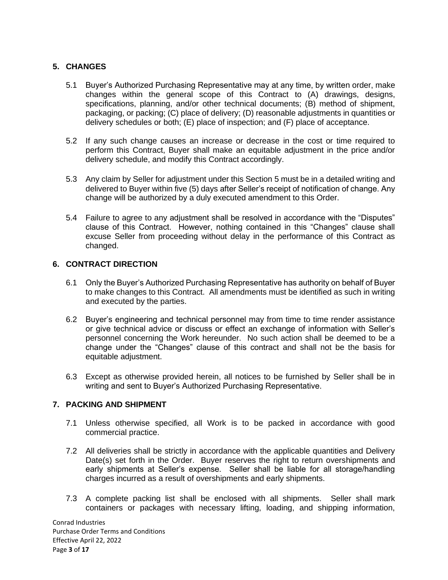# **5. CHANGES**

- 5.1 Buyer's Authorized Purchasing Representative may at any time, by written order, make changes within the general scope of this Contract to (A) drawings, designs, specifications, planning, and/or other technical documents; (B) method of shipment, packaging, or packing; (C) place of delivery; (D) reasonable adjustments in quantities or delivery schedules or both; (E) place of inspection; and (F) place of acceptance.
- 5.2 If any such change causes an increase or decrease in the cost or time required to perform this Contract, Buyer shall make an equitable adjustment in the price and/or delivery schedule, and modify this Contract accordingly.
- 5.3 Any claim by Seller for adjustment under this Section 5 must be in a detailed writing and delivered to Buyer within five (5) days after Seller's receipt of notification of change. Any change will be authorized by a duly executed amendment to this Order.
- 5.4 Failure to agree to any adjustment shall be resolved in accordance with the "Disputes" clause of this Contract. However, nothing contained in this "Changes" clause shall excuse Seller from proceeding without delay in the performance of this Contract as changed.

### **6. CONTRACT DIRECTION**

- 6.1 Only the Buyer's Authorized Purchasing Representative has authority on behalf of Buyer to make changes to this Contract. All amendments must be identified as such in writing and executed by the parties.
- 6.2 Buyer's engineering and technical personnel may from time to time render assistance or give technical advice or discuss or effect an exchange of information with Seller's personnel concerning the Work hereunder. No such action shall be deemed to be a change under the "Changes" clause of this contract and shall not be the basis for equitable adjustment.
- 6.3 Except as otherwise provided herein, all notices to be furnished by Seller shall be in writing and sent to Buyer's Authorized Purchasing Representative.

### **7. PACKING AND SHIPMENT**

- 7.1 Unless otherwise specified, all Work is to be packed in accordance with good commercial practice.
- 7.2 All deliveries shall be strictly in accordance with the applicable quantities and Delivery Date(s) set forth in the Order. Buyer reserves the right to return overshipments and early shipments at Seller's expense. Seller shall be liable for all storage/handling charges incurred as a result of overshipments and early shipments.
- 7.3 A complete packing list shall be enclosed with all shipments. Seller shall mark containers or packages with necessary lifting, loading, and shipping information,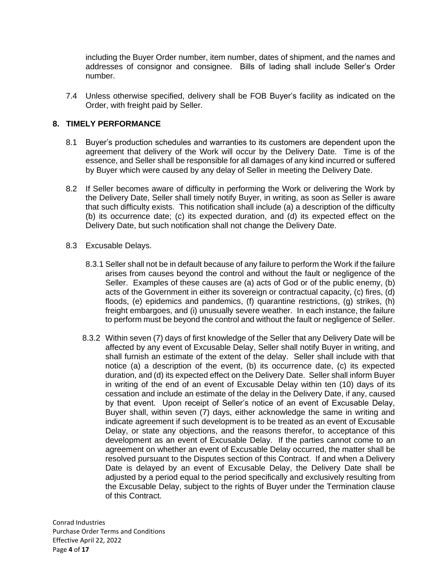including the Buyer Order number, item number, dates of shipment, and the names and addresses of consignor and consignee. Bills of lading shall include Seller's Order number.

7.4 Unless otherwise specified, delivery shall be FOB Buyer's facility as indicated on the Order, with freight paid by Seller.

### **8. TIMELY PERFORMANCE**

- 8.1 Buyer's production schedules and warranties to its customers are dependent upon the agreement that delivery of the Work will occur by the Delivery Date. Time is of the essence, and Seller shall be responsible for all damages of any kind incurred or suffered by Buyer which were caused by any delay of Seller in meeting the Delivery Date.
- 8.2 If Seller becomes aware of difficulty in performing the Work or delivering the Work by the Delivery Date, Seller shall timely notify Buyer, in writing, as soon as Seller is aware that such difficulty exists. This notification shall include (a) a description of the difficulty (b) its occurrence date; (c) its expected duration, and (d) its expected effect on the Delivery Date, but such notification shall not change the Delivery Date.
- 8.3 Excusable Delays.
	- 8.3.1 Seller shall not be in default because of any failure to perform the Work if the failure arises from causes beyond the control and without the fault or negligence of the Seller. Examples of these causes are (a) acts of God or of the public enemy, (b) acts of the Government in either its sovereign or contractual capacity, (c) fires, (d) floods, (e) epidemics and pandemics, (f) quarantine restrictions, (g) strikes, (h) freight embargoes, and (i) unusually severe weather. In each instance, the failure to perform must be beyond the control and without the fault or negligence of Seller.
	- 8.3.2 Within seven (7) days of first knowledge of the Seller that any Delivery Date will be affected by any event of Excusable Delay, Seller shall notify Buyer in writing, and shall furnish an estimate of the extent of the delay. Seller shall include with that notice (a) a description of the event, (b) its occurrence date, (c) its expected duration, and (d) its expected effect on the Delivery Date. Seller shall inform Buyer in writing of the end of an event of Excusable Delay within ten (10) days of its cessation and include an estimate of the delay in the Delivery Date, if any, caused by that event. Upon receipt of Seller's notice of an event of Excusable Delay, Buyer shall, within seven (7) days, either acknowledge the same in writing and indicate agreement if such development is to be treated as an event of Excusable Delay, or state any objections, and the reasons therefor, to acceptance of this development as an event of Excusable Delay. If the parties cannot come to an agreement on whether an event of Excusable Delay occurred, the matter shall be resolved pursuant to the Disputes section of this Contract. If and when a Delivery Date is delayed by an event of Excusable Delay, the Delivery Date shall be adjusted by a period equal to the period specifically and exclusively resulting from the Excusable Delay, subject to the rights of Buyer under the Termination clause of this Contract.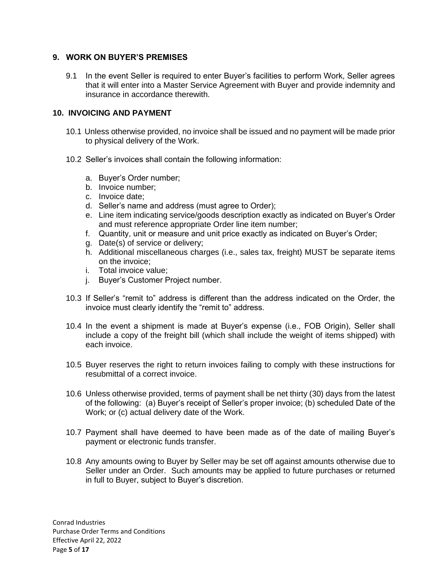### **9. WORK ON BUYER'S PREMISES**

9.1 In the event Seller is required to enter Buyer's facilities to perform Work, Seller agrees that it will enter into a Master Service Agreement with Buyer and provide indemnity and insurance in accordance therewith.

### **10. INVOICING AND PAYMENT**

- 10.1 Unless otherwise provided, no invoice shall be issued and no payment will be made prior to physical delivery of the Work.
- 10.2 Seller's invoices shall contain the following information:
	- a. Buyer's Order number;
	- b. Invoice number;
	- c. Invoice date;
	- d. Seller's name and address (must agree to Order);
	- e. Line item indicating service/goods description exactly as indicated on Buyer's Order and must reference appropriate Order line item number;
	- f. Quantity, unit or measure and unit price exactly as indicated on Buyer's Order;
	- g. Date(s) of service or delivery;
	- h. Additional miscellaneous charges (i.e., sales tax, freight) MUST be separate items on the invoice;
	- i. Total invoice value;
	- j. Buyer's Customer Project number.
- 10.3 If Seller's "remit to" address is different than the address indicated on the Order, the invoice must clearly identify the "remit to" address.
- 10.4 In the event a shipment is made at Buyer's expense (i.e., FOB Origin), Seller shall include a copy of the freight bill (which shall include the weight of items shipped) with each invoice.
- 10.5 Buyer reserves the right to return invoices failing to comply with these instructions for resubmittal of a correct invoice.
- 10.6 Unless otherwise provided, terms of payment shall be net thirty (30) days from the latest of the following: (a) Buyer's receipt of Seller's proper invoice; (b) scheduled Date of the Work; or (c) actual delivery date of the Work.
- 10.7 Payment shall have deemed to have been made as of the date of mailing Buyer's payment or electronic funds transfer.
- 10.8 Any amounts owing to Buyer by Seller may be set off against amounts otherwise due to Seller under an Order. Such amounts may be applied to future purchases or returned in full to Buyer, subject to Buyer's discretion.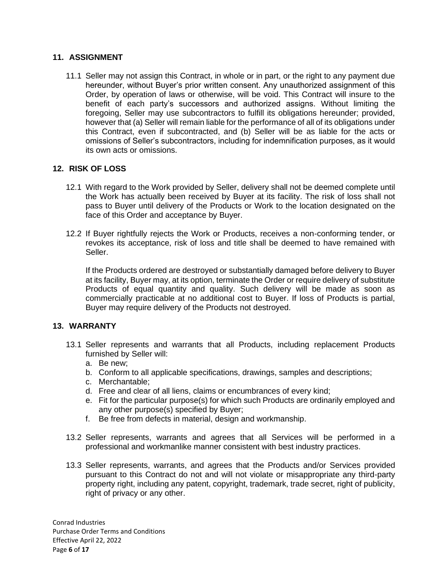## **11. ASSIGNMENT**

11.1 Seller may not assign this Contract, in whole or in part, or the right to any payment due hereunder, without Buyer's prior written consent. Any unauthorized assignment of this Order, by operation of laws or otherwise, will be void. This Contract will insure to the benefit of each party's successors and authorized assigns. Without limiting the foregoing, Seller may use subcontractors to fulfill its obligations hereunder; provided, however that (a) Seller will remain liable for the performance of all of its obligations under this Contract, even if subcontracted, and (b) Seller will be as liable for the acts or omissions of Seller's subcontractors, including for indemnification purposes, as it would its own acts or omissions.

### **12. RISK OF LOSS**

- 12.1 With regard to the Work provided by Seller, delivery shall not be deemed complete until the Work has actually been received by Buyer at its facility. The risk of loss shall not pass to Buyer until delivery of the Products or Work to the location designated on the face of this Order and acceptance by Buyer.
- 12.2 If Buyer rightfully rejects the Work or Products, receives a non-conforming tender, or revokes its acceptance, risk of loss and title shall be deemed to have remained with Seller.

If the Products ordered are destroyed or substantially damaged before delivery to Buyer at its facility, Buyer may, at its option, terminate the Order or require delivery of substitute Products of equal quantity and quality. Such delivery will be made as soon as commercially practicable at no additional cost to Buyer. If loss of Products is partial, Buyer may require delivery of the Products not destroyed.

# **13. WARRANTY**

- 13.1 Seller represents and warrants that all Products, including replacement Products furnished by Seller will:
	- a. Be new;
	- b. Conform to all applicable specifications, drawings, samples and descriptions;
	- c. Merchantable;
	- d. Free and clear of all liens, claims or encumbrances of every kind;
	- e. Fit for the particular purpose(s) for which such Products are ordinarily employed and any other purpose(s) specified by Buyer;
	- f. Be free from defects in material, design and workmanship.
- 13.2 Seller represents, warrants and agrees that all Services will be performed in a professional and workmanlike manner consistent with best industry practices.
- 13.3 Seller represents, warrants, and agrees that the Products and/or Services provided pursuant to this Contract do not and will not violate or misappropriate any third-party property right, including any patent, copyright, trademark, trade secret, right of publicity, right of privacy or any other.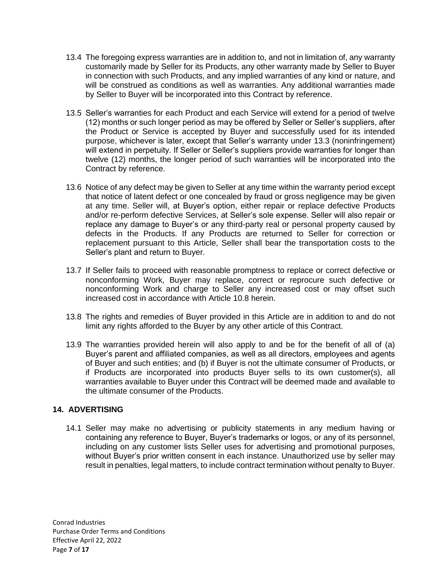- 13.4 The foregoing express warranties are in addition to, and not in limitation of, any warranty customarily made by Seller for its Products, any other warranty made by Seller to Buyer in connection with such Products, and any implied warranties of any kind or nature, and will be construed as conditions as well as warranties. Any additional warranties made by Seller to Buyer will be incorporated into this Contract by reference.
- 13.5 Seller's warranties for each Product and each Service will extend for a period of twelve (12) months or such longer period as may be offered by Seller or Seller's suppliers, after the Product or Service is accepted by Buyer and successfully used for its intended purpose, whichever is later, except that Seller's warranty under 13.3 (noninfringement) will extend in perpetuity. If Seller or Seller's suppliers provide warranties for longer than twelve (12) months, the longer period of such warranties will be incorporated into the Contract by reference.
- 13.6 Notice of any defect may be given to Seller at any time within the warranty period except that notice of latent defect or one concealed by fraud or gross negligence may be given at any time. Seller will, at Buyer's option, either repair or replace defective Products and/or re-perform defective Services, at Seller's sole expense. Seller will also repair or replace any damage to Buyer's or any third-party real or personal property caused by defects in the Products. If any Products are returned to Seller for correction or replacement pursuant to this Article, Seller shall bear the transportation costs to the Seller's plant and return to Buyer.
- 13.7 If Seller fails to proceed with reasonable promptness to replace or correct defective or nonconforming Work, Buyer may replace, correct or reprocure such defective or nonconforming Work and charge to Seller any increased cost or may offset such increased cost in accordance with Article 10.8 herein.
- 13.8 The rights and remedies of Buyer provided in this Article are in addition to and do not limit any rights afforded to the Buyer by any other article of this Contract.
- 13.9 The warranties provided herein will also apply to and be for the benefit of all of (a) Buyer's parent and affiliated companies, as well as all directors, employees and agents of Buyer and such entities; and (b) if Buyer is not the ultimate consumer of Products, or if Products are incorporated into products Buyer sells to its own customer(s), all warranties available to Buyer under this Contract will be deemed made and available to the ultimate consumer of the Products.

# **14. ADVERTISING**

14.1 Seller may make no advertising or publicity statements in any medium having or containing any reference to Buyer, Buyer's trademarks or logos, or any of its personnel, including on any customer lists Seller uses for advertising and promotional purposes, without Buyer's prior written consent in each instance. Unauthorized use by seller may result in penalties, legal matters, to include contract termination without penalty to Buyer.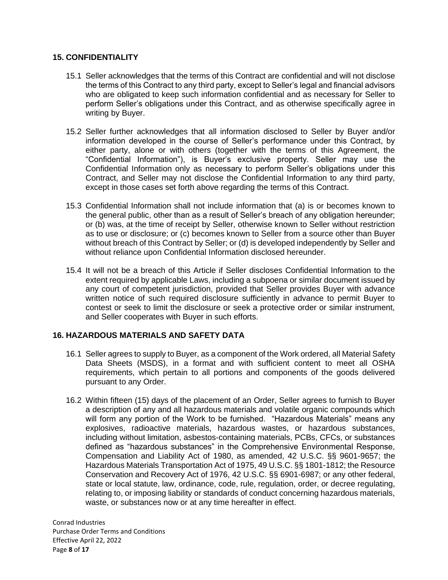## **15. CONFIDENTIALITY**

- 15.1 Seller acknowledges that the terms of this Contract are confidential and will not disclose the terms of this Contract to any third party, except to Seller's legal and financial advisors who are obligated to keep such information confidential and as necessary for Seller to perform Seller's obligations under this Contract, and as otherwise specifically agree in writing by Buyer.
- 15.2 Seller further acknowledges that all information disclosed to Seller by Buyer and/or information developed in the course of Seller's performance under this Contract, by either party, alone or with others (together with the terms of this Agreement, the "Confidential Information"), is Buyer's exclusive property. Seller may use the Confidential Information only as necessary to perform Seller's obligations under this Contract, and Seller may not disclose the Confidential Information to any third party, except in those cases set forth above regarding the terms of this Contract.
- 15.3 Confidential Information shall not include information that (a) is or becomes known to the general public, other than as a result of Seller's breach of any obligation hereunder; or (b) was, at the time of receipt by Seller, otherwise known to Seller without restriction as to use or disclosure; or (c) becomes known to Seller from a source other than Buyer without breach of this Contract by Seller; or (d) is developed independently by Seller and without reliance upon Confidential Information disclosed hereunder.
- 15.4 It will not be a breach of this Article if Seller discloses Confidential Information to the extent required by applicable Laws, including a subpoena or similar document issued by any court of competent jurisdiction, provided that Seller provides Buyer with advance written notice of such required disclosure sufficiently in advance to permit Buyer to contest or seek to limit the disclosure or seek a protective order or similar instrument, and Seller cooperates with Buyer in such efforts.

# **16. HAZARDOUS MATERIALS AND SAFETY DATA**

- 16.1 Seller agrees to supply to Buyer, as a component of the Work ordered, all Material Safety Data Sheets (MSDS), in a format and with sufficient content to meet all OSHA requirements, which pertain to all portions and components of the goods delivered pursuant to any Order.
- 16.2 Within fifteen (15) days of the placement of an Order, Seller agrees to furnish to Buyer a description of any and all hazardous materials and volatile organic compounds which will form any portion of the Work to be furnished. "Hazardous Materials" means any explosives, radioactive materials, hazardous wastes, or hazardous substances, including without limitation, asbestos-containing materials, PCBs, CFCs, or substances defined as "hazardous substances" in the Comprehensive Environmental Response, Compensation and Liability Act of 1980, as amended, 42 U.S.C. §§ 9601-9657; the Hazardous Materials Transportation Act of 1975, 49 U.S.C. §§ 1801-1812; the Resource Conservation and Recovery Act of 1976, 42 U.S.C. §§ 6901-6987; or any other federal, state or local statute, law, ordinance, code, rule, regulation, order, or decree regulating, relating to, or imposing liability or standards of conduct concerning hazardous materials, waste, or substances now or at any time hereafter in effect.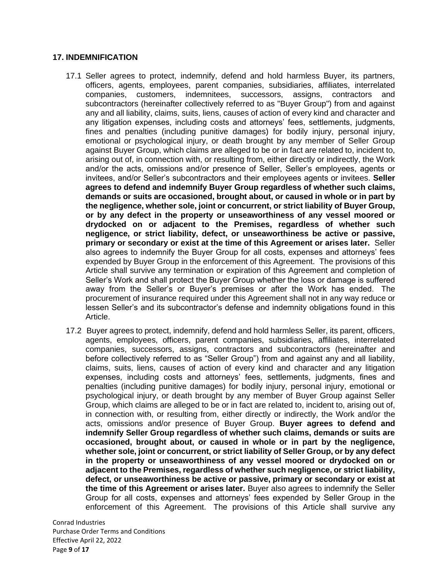### **17. INDEMNIFICATION**

- 17.1 Seller agrees to protect, indemnify, defend and hold harmless Buyer, its partners, officers, agents, employees, parent companies, subsidiaries, affiliates, interrelated companies, customers, indemnitees, successors, assigns, contractors and subcontractors (hereinafter collectively referred to as "Buyer Group") from and against any and all liability, claims, suits, liens, causes of action of every kind and character and any litigation expenses, including costs and attorneys' fees, settlements, judgments, fines and penalties (including punitive damages) for bodily injury, personal injury, emotional or psychological injury, or death brought by any member of Seller Group against Buyer Group, which claims are alleged to be or in fact are related to, incident to, arising out of, in connection with, or resulting from, either directly or indirectly, the Work and/or the acts, omissions and/or presence of Seller, Seller's employees, agents or invitees, and/or Seller's subcontractors and their employees agents or invitees. **Seller agrees to defend and indemnify Buyer Group regardless of whether such claims, demands or suits are occasioned, brought about, or caused in whole or in part by the negligence, whether sole, joint or concurrent, or strict liability of Buyer Group, or by any defect in the property or unseaworthiness of any vessel moored or drydocked on or adjacent to the Premises, regardless of whether such negligence, or strict liability, defect, or unseaworthiness be active or passive, primary or secondary or exist at the time of this Agreement or arises later.** Seller also agrees to indemnify the Buyer Group for all costs, expenses and attorneys' fees expended by Buyer Group in the enforcement of this Agreement. The provisions of this Article shall survive any termination or expiration of this Agreement and completion of Seller's Work and shall protect the Buyer Group whether the loss or damage is suffered away from the Seller's or Buyer's premises or after the Work has ended. The procurement of insurance required under this Agreement shall not in any way reduce or lessen Seller's and its subcontractor's defense and indemnity obligations found in this Article.
- 17.2 Buyer agrees to protect, indemnify, defend and hold harmless Seller, its parent, officers, agents, employees, officers, parent companies, subsidiaries, affiliates, interrelated companies, successors, assigns, contractors and subcontractors (hereinafter and before collectively referred to as "Seller Group") from and against any and all liability, claims, suits, liens, causes of action of every kind and character and any litigation expenses, including costs and attorneys' fees, settlements, judgments, fines and penalties (including punitive damages) for bodily injury, personal injury, emotional or psychological injury, or death brought by any member of Buyer Group against Seller Group, which claims are alleged to be or in fact are related to, incident to, arising out of, in connection with, or resulting from, either directly or indirectly, the Work and/or the acts, omissions and/or presence of Buyer Group. **Buyer agrees to defend and indemnify Seller Group regardless of whether such claims, demands or suits are occasioned, brought about, or caused in whole or in part by the negligence, whether sole, joint or concurrent, or strict liability of Seller Group, or by any defect in the property or unseaworthiness of any vessel moored or drydocked on or adjacent to the Premises, regardless of whether such negligence, or strict liability, defect, or unseaworthiness be active or passive, primary or secondary or exist at the time of this Agreement or arises later.** Buyer also agrees to indemnify the Seller Group for all costs, expenses and attorneys' fees expended by Seller Group in the enforcement of this Agreement. The provisions of this Article shall survive any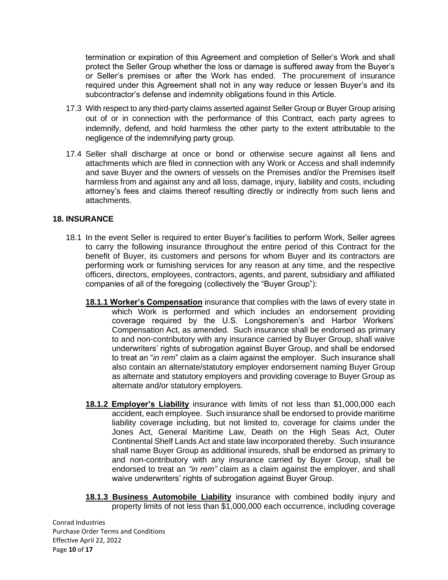termination or expiration of this Agreement and completion of Seller's Work and shall protect the Seller Group whether the loss or damage is suffered away from the Buyer's or Seller's premises or after the Work has ended. The procurement of insurance required under this Agreement shall not in any way reduce or lessen Buyer's and its subcontractor's defense and indemnity obligations found in this Article.

- 17.3 With respect to any third-party claims asserted against Seller Group or Buyer Group arising out of or in connection with the performance of this Contract, each party agrees to indemnify, defend, and hold harmless the other party to the extent attributable to the negligence of the indemnifying party group.
- 17.4 Seller shall discharge at once or bond or otherwise secure against all liens and attachments which are filed in connection with any Work or Access and shall indemnify and save Buyer and the owners of vessels on the Premises and/or the Premises itself harmless from and against any and all loss, damage, injury, liability and costs, including attorney's fees and claims thereof resulting directly or indirectly from such liens and attachments.

#### **18. INSURANCE**

- 18.1 In the event Seller is required to enter Buyer's facilities to perform Work, Seller agrees to carry the following insurance throughout the entire period of this Contract for the benefit of Buyer, its customers and persons for whom Buyer and its contractors are performing work or furnishing services for any reason at any time, and the respective officers, directors, employees, contractors, agents, and parent, subsidiary and affiliated companies of all of the foregoing (collectively the "Buyer Group"):
	- **18.1.1 Worker's Compensation** insurance that complies with the laws of every state in which Work is performed and which includes an endorsement providing coverage required by the U.S. Longshoremen's and Harbor Workers' Compensation Act, as amended. Such insurance shall be endorsed as primary to and non-contributory with any insurance carried by Buyer Group, shall waive underwriters' rights of subrogation against Buyer Group, and shall be endorsed to treat an "*in rem*" claim as a claim against the employer. Such insurance shall also contain an alternate/statutory employer endorsement naming Buyer Group as alternate and statutory employers and providing coverage to Buyer Group as alternate and/or statutory employers.
	- **18.1.2 Employer's Liability** insurance with limits of not less than \$1,000,000 each accident, each employee. Such insurance shall be endorsed to provide maritime liability coverage including, but not limited to, coverage for claims under the Jones Act, General Maritime Law, Death on the High Seas Act, Outer Continental Shelf Lands Act and state law incorporated thereby. Such insurance shall name Buyer Group as additional insureds, shall be endorsed as primary to and non-contributory with any insurance carried by Buyer Group, shall be endorsed to treat an *"in rem"* claim as a claim against the employer, and shall waive underwriters' rights of subrogation against Buyer Group.
	- **18.1.3 Business Automobile Liability** insurance with combined bodily injury and property limits of not less than \$1,000,000 each occurrence, including coverage

Conrad Industries Purchase Order Terms and Conditions Effective April 22, 2022 Page **10** of **17**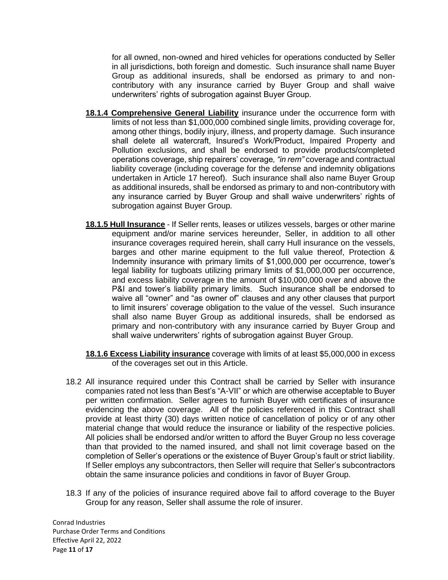for all owned, non-owned and hired vehicles for operations conducted by Seller in all jurisdictions, both foreign and domestic. Such insurance shall name Buyer Group as additional insureds, shall be endorsed as primary to and noncontributory with any insurance carried by Buyer Group and shall waive underwriters' rights of subrogation against Buyer Group.

- **18.1.4 Comprehensive General Liability** insurance under the occurrence form with limits of not less than \$1,000,000 combined single limits, providing coverage for, among other things, bodily injury, illness, and property damage. Such insurance shall delete all watercraft, Insured's Work/Product, Impaired Property and Pollution exclusions, and shall be endorsed to provide products/completed operations coverage, ship repairers' coverage*, "in rem"* coverage and contractual liability coverage (including coverage for the defense and indemnity obligations undertaken in Article 17 hereof). Such insurance shall also name Buyer Group as additional insureds, shall be endorsed as primary to and non-contributory with any insurance carried by Buyer Group and shall waive underwriters' rights of subrogation against Buyer Group.
- **18.1.5 Hull Insurance** If Seller rents, leases or utilizes vessels, barges or other marine equipment and/or marine services hereunder, Seller, in addition to all other insurance coverages required herein, shall carry Hull insurance on the vessels, barges and other marine equipment to the full value thereof, Protection & Indemnity insurance with primary limits of \$1,000,000 per occurrence, tower's legal liability for tugboats utilizing primary limits of \$1,000,000 per occurrence, and excess liability coverage in the amount of \$10,000,000 over and above the P&I and tower's liability primary limits. Such insurance shall be endorsed to waive all "owner" and "as owner of" clauses and any other clauses that purport to limit insurers' coverage obligation to the value of the vessel. Such insurance shall also name Buyer Group as additional insureds, shall be endorsed as primary and non-contributory with any insurance carried by Buyer Group and shall waive underwriters' rights of subrogation against Buyer Group.
- **18.1.6 Excess Liability insurance** coverage with limits of at least \$5,000,000 in excess of the coverages set out in this Article.
- 18.2 All insurance required under this Contract shall be carried by Seller with insurance companies rated not less than Best's "A-VII" or which are otherwise acceptable to Buyer per written confirmation. Seller agrees to furnish Buyer with certificates of insurance evidencing the above coverage. All of the policies referenced in this Contract shall provide at least thirty (30) days written notice of cancellation of policy or of any other material change that would reduce the insurance or liability of the respective policies. All policies shall be endorsed and/or written to afford the Buyer Group no less coverage than that provided to the named insured, and shall not limit coverage based on the completion of Seller's operations or the existence of Buyer Group's fault or strict liability. If Seller employs any subcontractors, then Seller will require that Seller's subcontractors obtain the same insurance policies and conditions in favor of Buyer Group.
- 18.3 If any of the policies of insurance required above fail to afford coverage to the Buyer Group for any reason, Seller shall assume the role of insurer.

Conrad Industries Purchase Order Terms and Conditions Effective April 22, 2022 Page **11** of **17**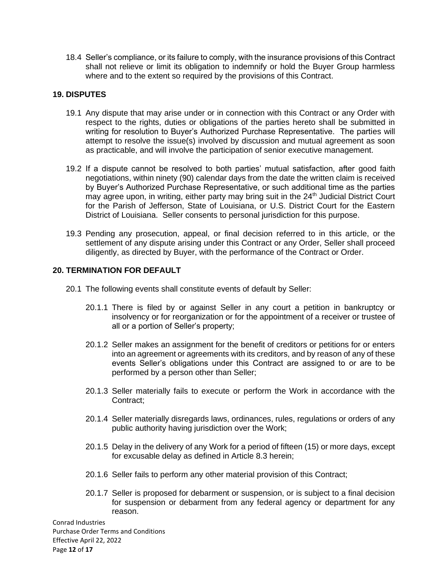18.4 Seller's compliance, or its failure to comply, with the insurance provisions of this Contract shall not relieve or limit its obligation to indemnify or hold the Buyer Group harmless where and to the extent so required by the provisions of this Contract.

#### **19. DISPUTES**

- 19.1 Any dispute that may arise under or in connection with this Contract or any Order with respect to the rights, duties or obligations of the parties hereto shall be submitted in writing for resolution to Buyer's Authorized Purchase Representative. The parties will attempt to resolve the issue(s) involved by discussion and mutual agreement as soon as practicable, and will involve the participation of senior executive management.
- 19.2 If a dispute cannot be resolved to both parties' mutual satisfaction, after good faith negotiations, within ninety (90) calendar days from the date the written claim is received by Buyer's Authorized Purchase Representative, or such additional time as the parties may agree upon, in writing, either party may bring suit in the 24<sup>th</sup> Judicial District Court for the Parish of Jefferson, State of Louisiana, or U.S. District Court for the Eastern District of Louisiana. Seller consents to personal jurisdiction for this purpose.
- 19.3 Pending any prosecution, appeal, or final decision referred to in this article, or the settlement of any dispute arising under this Contract or any Order, Seller shall proceed diligently, as directed by Buyer, with the performance of the Contract or Order.

### **20. TERMINATION FOR DEFAULT**

- 20.1 The following events shall constitute events of default by Seller:
	- 20.1.1 There is filed by or against Seller in any court a petition in bankruptcy or insolvency or for reorganization or for the appointment of a receiver or trustee of all or a portion of Seller's property;
	- 20.1.2 Seller makes an assignment for the benefit of creditors or petitions for or enters into an agreement or agreements with its creditors, and by reason of any of these events Seller's obligations under this Contract are assigned to or are to be performed by a person other than Seller;
	- 20.1.3 Seller materially fails to execute or perform the Work in accordance with the Contract;
	- 20.1.4 Seller materially disregards laws, ordinances, rules, regulations or orders of any public authority having jurisdiction over the Work;
	- 20.1.5 Delay in the delivery of any Work for a period of fifteen (15) or more days, except for excusable delay as defined in Article 8.3 herein;
	- 20.1.6 Seller fails to perform any other material provision of this Contract;
	- 20.1.7 Seller is proposed for debarment or suspension, or is subject to a final decision for suspension or debarment from any federal agency or department for any reason.

Conrad Industries Purchase Order Terms and Conditions Effective April 22, 2022 Page **12** of **17**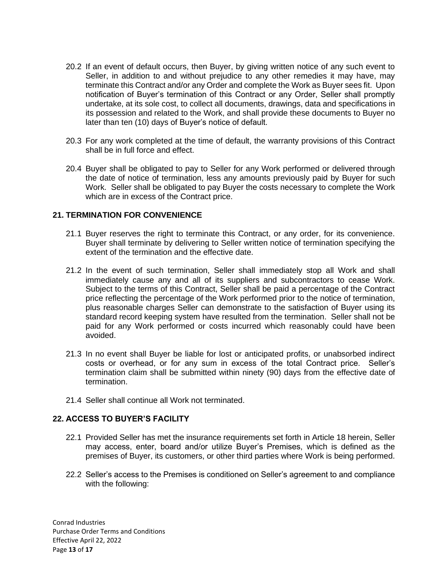- 20.2 If an event of default occurs, then Buyer, by giving written notice of any such event to Seller, in addition to and without prejudice to any other remedies it may have, may terminate this Contract and/or any Order and complete the Work as Buyer sees fit. Upon notification of Buyer's termination of this Contract or any Order, Seller shall promptly undertake, at its sole cost, to collect all documents, drawings, data and specifications in its possession and related to the Work, and shall provide these documents to Buyer no later than ten (10) days of Buyer's notice of default.
- 20.3 For any work completed at the time of default, the warranty provisions of this Contract shall be in full force and effect.
- 20.4 Buyer shall be obligated to pay to Seller for any Work performed or delivered through the date of notice of termination, less any amounts previously paid by Buyer for such Work. Seller shall be obligated to pay Buyer the costs necessary to complete the Work which are in excess of the Contract price.

### **21. TERMINATION FOR CONVENIENCE**

- 21.1 Buyer reserves the right to terminate this Contract, or any order, for its convenience. Buyer shall terminate by delivering to Seller written notice of termination specifying the extent of the termination and the effective date.
- 21.2 In the event of such termination, Seller shall immediately stop all Work and shall immediately cause any and all of its suppliers and subcontractors to cease Work. Subject to the terms of this Contract, Seller shall be paid a percentage of the Contract price reflecting the percentage of the Work performed prior to the notice of termination, plus reasonable charges Seller can demonstrate to the satisfaction of Buyer using its standard record keeping system have resulted from the termination. Seller shall not be paid for any Work performed or costs incurred which reasonably could have been avoided.
- 21.3 In no event shall Buyer be liable for lost or anticipated profits, or unabsorbed indirect costs or overhead, or for any sum in excess of the total Contract price. Seller's termination claim shall be submitted within ninety (90) days from the effective date of termination.
- 21.4 Seller shall continue all Work not terminated.

### **22. ACCESS TO BUYER'S FACILITY**

- 22.1 Provided Seller has met the insurance requirements set forth in Article 18 herein, Seller may access, enter, board and/or utilize Buyer's Premises, which is defined as the premises of Buyer, its customers, or other third parties where Work is being performed.
- 22.2 Seller's access to the Premises is conditioned on Seller's agreement to and compliance with the following: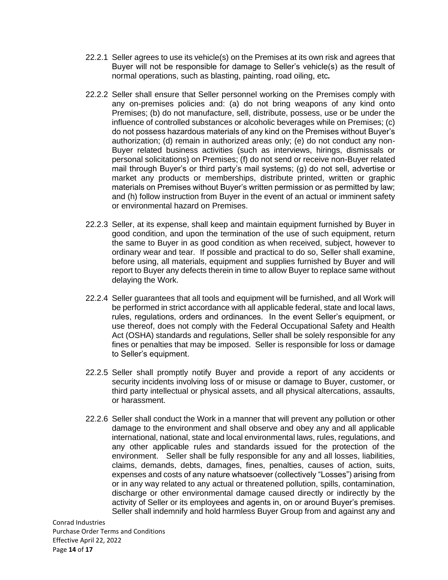- 22.2.1 Seller agrees to use its vehicle(s) on the Premises at its own risk and agrees that Buyer will not be responsible for damage to Seller's vehicle(s) as the result of normal operations, such as blasting, painting, road oiling, etc*.*
- 22.2.2 Seller shall ensure that Seller personnel working on the Premises comply with any on-premises policies and: (a) do not bring weapons of any kind onto Premises; (b) do not manufacture, sell, distribute, possess, use or be under the influence of controlled substances or alcoholic beverages while on Premises; (c) do not possess hazardous materials of any kind on the Premises without Buyer's authorization; (d) remain in authorized areas only; (e) do not conduct any non-Buyer related business activities (such as interviews, hirings, dismissals or personal solicitations) on Premises; (f) do not send or receive non-Buyer related mail through Buyer's or third party's mail systems; (g) do not sell, advertise or market any products or memberships, distribute printed, written or graphic materials on Premises without Buyer's written permission or as permitted by law; and (h) follow instruction from Buyer in the event of an actual or imminent safety or environmental hazard on Premises.
- 22.2.3 Seller, at its expense, shall keep and maintain equipment furnished by Buyer in good condition, and upon the termination of the use of such equipment, return the same to Buyer in as good condition as when received, subject, however to ordinary wear and tear. If possible and practical to do so, Seller shall examine, before using, all materials, equipment and supplies furnished by Buyer and will report to Buyer any defects therein in time to allow Buyer to replace same without delaying the Work.
- 22.2.4 Seller guarantees that all tools and equipment will be furnished, and all Work will be performed in strict accordance with all applicable federal, state and local laws, rules, regulations, orders and ordinances. In the event Seller's equipment, or use thereof, does not comply with the Federal Occupational Safety and Health Act (OSHA) standards and regulations, Seller shall be solely responsible for any fines or penalties that may be imposed. Seller is responsible for loss or damage to Seller's equipment.
- 22.2.5 Seller shall promptly notify Buyer and provide a report of any accidents or security incidents involving loss of or misuse or damage to Buyer, customer, or third party intellectual or physical assets, and all physical altercations, assaults, or harassment.
- 22.2.6 Seller shall conduct the Work in a manner that will prevent any pollution or other damage to the environment and shall observe and obey any and all applicable international, national, state and local environmental laws, rules, regulations, and any other applicable rules and standards issued for the protection of the environment. Seller shall be fully responsible for any and all losses, liabilities, claims, demands, debts, damages, fines, penalties, causes of action, suits, expenses and costs of any nature whatsoever (collectively "Losses") arising from or in any way related to any actual or threatened pollution, spills, contamination, discharge or other environmental damage caused directly or indirectly by the activity of Seller or its employees and agents in, on or around Buyer's premises. Seller shall indemnify and hold harmless Buyer Group from and against any and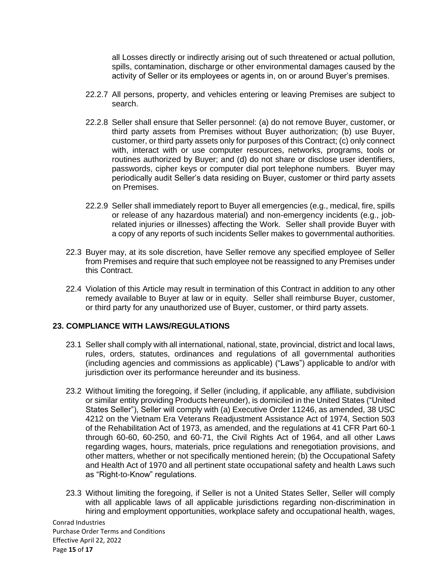all Losses directly or indirectly arising out of such threatened or actual pollution, spills, contamination, discharge or other environmental damages caused by the activity of Seller or its employees or agents in, on or around Buyer's premises.

- 22.2.7 All persons, property, and vehicles entering or leaving Premises are subject to search.
- 22.2.8 Seller shall ensure that Seller personnel: (a) do not remove Buyer, customer, or third party assets from Premises without Buyer authorization; (b) use Buyer, customer, or third party assets only for purposes of this Contract; (c) only connect with, interact with or use computer resources, networks, programs, tools or routines authorized by Buyer; and (d) do not share or disclose user identifiers, passwords, cipher keys or computer dial port telephone numbers. Buyer may periodically audit Seller's data residing on Buyer, customer or third party assets on Premises.
- 22.2.9 Seller shall immediately report to Buyer all emergencies (e.g., medical, fire, spills or release of any hazardous material) and non-emergency incidents (e.g., jobrelated injuries or illnesses) affecting the Work. Seller shall provide Buyer with a copy of any reports of such incidents Seller makes to governmental authorities.
- 22.3 Buyer may, at its sole discretion, have Seller remove any specified employee of Seller from Premises and require that such employee not be reassigned to any Premises under this Contract.
- 22.4 Violation of this Article may result in termination of this Contract in addition to any other remedy available to Buyer at law or in equity. Seller shall reimburse Buyer, customer, or third party for any unauthorized use of Buyer, customer, or third party assets.

## **23. COMPLIANCE WITH LAWS/REGULATIONS**

- 23.1 Seller shall comply with all international, national, state, provincial, district and local laws, rules, orders, statutes, ordinances and regulations of all governmental authorities (including agencies and commissions as applicable) ("Laws") applicable to and/or with jurisdiction over its performance hereunder and its business.
- 23.2 Without limiting the foregoing, if Seller (including, if applicable, any affiliate, subdivision or similar entity providing Products hereunder), is domiciled in the United States ("United States Seller"), Seller will comply with (a) Executive Order 11246, as amended, 38 USC 4212 on the Vietnam Era Veterans Readjustment Assistance Act of 1974, Section 503 of the Rehabilitation Act of 1973, as amended, and the regulations at 41 CFR Part 60-1 through 60-60, 60-250, and 60-71, the Civil Rights Act of 1964, and all other Laws regarding wages, hours, materials, price regulations and renegotiation provisions, and other matters, whether or not specifically mentioned herein; (b) the Occupational Safety and Health Act of 1970 and all pertinent state occupational safety and health Laws such as "Right-to-Know" regulations.
- 23.3 Without limiting the foregoing, if Seller is not a United States Seller, Seller will comply with all applicable laws of all applicable jurisdictions regarding non-discrimination in hiring and employment opportunities, workplace safety and occupational health, wages,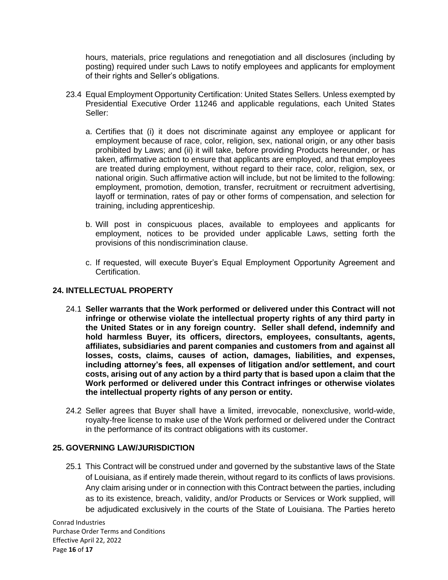hours, materials, price regulations and renegotiation and all disclosures (including by posting) required under such Laws to notify employees and applicants for employment of their rights and Seller's obligations.

- 23.4 Equal Employment Opportunity Certification: United States Sellers. Unless exempted by Presidential Executive Order 11246 and applicable regulations, each United States Seller:
	- a. Certifies that (i) it does not discriminate against any employee or applicant for employment because of race, color, religion, sex, national origin, or any other basis prohibited by Laws; and (ii) it will take, before providing Products hereunder, or has taken, affirmative action to ensure that applicants are employed, and that employees are treated during employment, without regard to their race, color, religion, sex, or national origin. Such affirmative action will include, but not be limited to the following: employment, promotion, demotion, transfer, recruitment or recruitment advertising, layoff or termination, rates of pay or other forms of compensation, and selection for training, including apprenticeship.
	- b. Will post in conspicuous places, available to employees and applicants for employment, notices to be provided under applicable Laws, setting forth the provisions of this nondiscrimination clause.
	- c. If requested, will execute Buyer's Equal Employment Opportunity Agreement and Certification.

### **24. INTELLECTUAL PROPERTY**

- 24.1 **Seller warrants that the Work performed or delivered under this Contract will not infringe or otherwise violate the intellectual property rights of any third party in the United States or in any foreign country. Seller shall defend, indemnify and hold harmless Buyer, its officers, directors, employees, consultants, agents, affiliates, subsidiaries and parent companies and customers from and against all losses, costs, claims, causes of action, damages, liabilities, and expenses, including attorney's fees, all expenses of litigation and/or settlement, and court costs, arising out of any action by a third party that is based upon a claim that the Work performed or delivered under this Contract infringes or otherwise violates the intellectual property rights of any person or entity.**
- 24.2 Seller agrees that Buyer shall have a limited, irrevocable, nonexclusive, world-wide, royalty-free license to make use of the Work performed or delivered under the Contract in the performance of its contract obligations with its customer.

### **25. GOVERNING LAW/JURISDICTION**

25.1 This Contract will be construed under and governed by the substantive laws of the State of Louisiana, as if entirely made therein, without regard to its conflicts of laws provisions. Any claim arising under or in connection with this Contract between the parties, including as to its existence, breach, validity, and/or Products or Services or Work supplied, will be adjudicated exclusively in the courts of the State of Louisiana. The Parties hereto